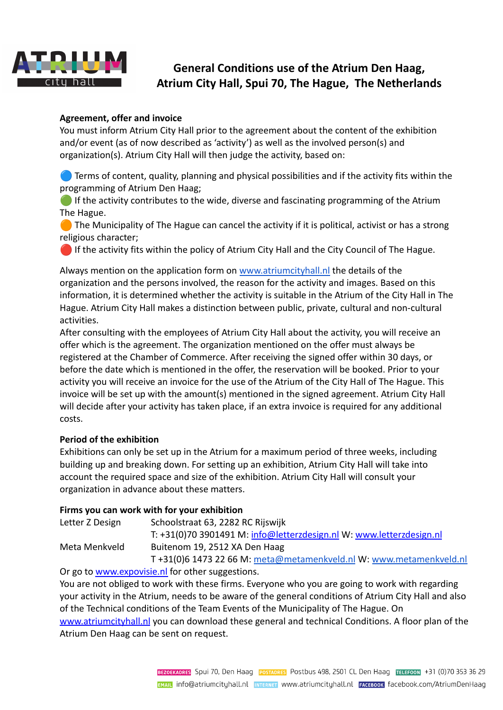

# **General Conditions use of the Atrium Den Haag, Atrium City Hall, Spui 70, The Hague, The Netherlands**

### **Agreement, offer and invoice**

You must inform Atrium City Hall prior to the agreement about the content of the exhibition and/or event (as of now described as 'activity') as well as the involved person(s) and organization(s). Atrium City Hall will then judge the activity, based on:

**Terms of content, quality, planning and physical possibilities and if the activity fits within the** programming of Atrium Den Haag;

If the activity contributes to the wide, diverse and fascinating programming of the Atrium The Hague.

 $\Box$  The Municipality of The Hague can cancel the activity if it is political, activist or has a strong religious character;

If the activity fits within the policy of Atrium City Hall and the City Council of The Hague.

Always mention on the application form on [www.atriumcityhall.nl](http://www.atriumcityhall.nl) the details of the organization and the persons involved, the reason for the activity and images. Based on this information, it is determined whether the activity is suitable in the Atrium of the City Hall in The Hague. Atrium City Hall makes a distinction between public, private, cultural and non-cultural activities.

After consulting with the employees of Atrium City Hall about the activity, you will receive an offer which is the agreement. The organization mentioned on the offer must always be registered at the Chamber of Commerce. After receiving the signed offer within 30 days, or before the date which is mentioned in the offer, the reservation will be booked. Prior to your activity you will receive an invoice for the use of the Atrium of the City Hall of The Hague. This invoice will be set up with the amount(s) mentioned in the signed agreement. Atrium City Hall will decide after your activity has taken place, if an extra invoice is required for any additional costs.

#### **Period of the exhibition**

Exhibitions can only be set up in the Atrium for a maximum period of three weeks, including building up and breaking down. For setting up an exhibition, Atrium City Hall will take into account the required space and size of the exhibition. Atrium City Hall will consult your organization in advance about these matters.

#### **Firms you can work with for your exhibition**

| Letter Z Design | Schoolstraat 63, 2282 RC Rijswijk                                    |
|-----------------|----------------------------------------------------------------------|
|                 | T: +31(0)70 3901491 M: info@letterzdesign.nl W: www.letterzdesign.nl |
| Meta Menkveld   | Buitenom 19, 2512 XA Den Haag                                        |
|                 | T+31(0)6 1473 22 66 M: meta@metamenkveld.nl W: www.metamenkveld.nl   |
|                 |                                                                      |

Or go to [www.expovisie.nl](http://www.expovisie.nl) for other suggestions. You are not obliged to work with these firms. Everyone who you are going to work with regarding your activity in the Atrium, needs to be aware of the general conditions of Atrium City Hall and also of the Technical conditions of the Team Events of the Municipality of The Hague. On [www.atriumcityhall.nl](http://www.atriumcityhall.nl) you can download these general and technical Conditions. A floor plan of the Atrium Den Haag can be sent on request.